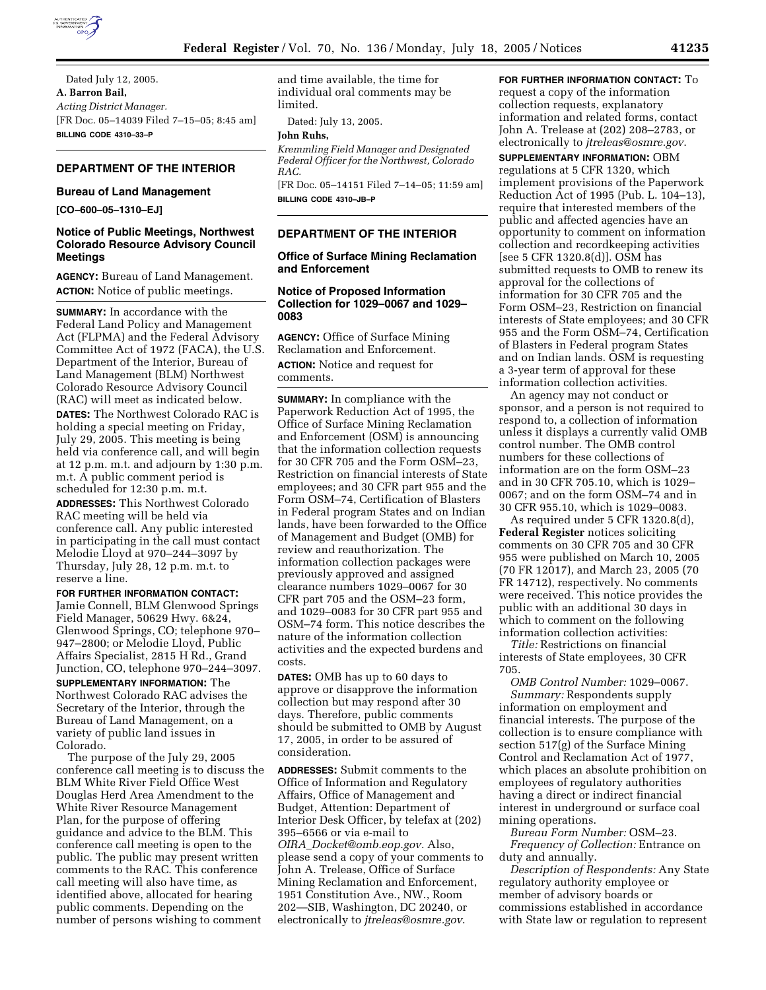

Dated July 12, 2005. **A. Barron Bail,**  *Acting District Manager.* [FR Doc. 05–14039 Filed 7–15–05; 8:45 am] **BILLING CODE 4310–33–P**

# **DEPARTMENT OF THE INTERIOR**

#### **Bureau of Land Management**

**[CO–600–05–1310–EJ]** 

# **Notice of Public Meetings, Northwest Colorado Resource Advisory Council Meetings**

**AGENCY:** Bureau of Land Management. **ACTION:** Notice of public meetings.

**SUMMARY:** In accordance with the Federal Land Policy and Management Act (FLPMA) and the Federal Advisory Committee Act of 1972 (FACA), the U.S. Department of the Interior, Bureau of Land Management (BLM) Northwest Colorado Resource Advisory Council (RAC) will meet as indicated below. **DATES:** The Northwest Colorado RAC is holding a special meeting on Friday, July 29, 2005. This meeting is being held via conference call, and will begin at 12 p.m. m.t. and adjourn by 1:30 p.m. m.t. A public comment period is scheduled for 12:30 p.m. m.t.

**ADDRESSES:** This Northwest Colorado RAC meeting will be held via conference call. Any public interested in participating in the call must contact Melodie Lloyd at 970–244–3097 by Thursday, July 28, 12 p.m. m.t. to reserve a line.

**FOR FURTHER INFORMATION CONTACT:**

Jamie Connell, BLM Glenwood Springs Field Manager, 50629 Hwy. 6&24, Glenwood Springs, CO; telephone 970– 947–2800; or Melodie Lloyd, Public Affairs Specialist, 2815 H Rd., Grand Junction, CO, telephone 970–244–3097. **SUPPLEMENTARY INFORMATION:** The Northwest Colorado RAC advises the Secretary of the Interior, through the Bureau of Land Management, on a variety of public land issues in Colorado.

The purpose of the July 29, 2005 conference call meeting is to discuss the BLM White River Field Office West Douglas Herd Area Amendment to the White River Resource Management Plan, for the purpose of offering guidance and advice to the BLM. This conference call meeting is open to the public. The public may present written comments to the RAC. This conference call meeting will also have time, as identified above, allocated for hearing public comments. Depending on the number of persons wishing to comment

and time available, the time for individual oral comments may be limited.

Dated: July 13, 2005.

# **John Ruhs,**

*Kremmling Field Manager and Designated Federal Officer for the Northwest, Colorado RAC.*

[FR Doc. 05–14151 Filed 7–14–05; 11:59 am] **BILLING CODE 4310–JB–P**

## **DEPARTMENT OF THE INTERIOR**

### **Office of Surface Mining Reclamation and Enforcement**

### **Notice of Proposed Information Collection for 1029–0067 and 1029– 0083**

**AGENCY:** Office of Surface Mining Reclamation and Enforcement. **ACTION:** Notice and request for comments.

**SUMMARY:** In compliance with the Paperwork Reduction Act of 1995, the Office of Surface Mining Reclamation and Enforcement (OSM) is announcing that the information collection requests for 30 CFR 705 and the Form OSM–23, Restriction on financial interests of State employees; and 30 CFR part 955 and the Form OSM–74, Certification of Blasters in Federal program States and on Indian lands, have been forwarded to the Office of Management and Budget (OMB) for review and reauthorization. The information collection packages were previously approved and assigned clearance numbers 1029–0067 for 30 CFR part 705 and the OSM–23 form, and 1029–0083 for 30 CFR part 955 and OSM–74 form. This notice describes the nature of the information collection activities and the expected burdens and costs.

**DATES:** OMB has up to 60 days to approve or disapprove the information collection but may respond after 30 days. Therefore, public comments should be submitted to OMB by August 17, 2005, in order to be assured of consideration.

**ADDRESSES:** Submit comments to the Office of Information and Regulatory Affairs, Office of Management and Budget, Attention: Department of Interior Desk Officer, by telefax at (202) 395–6566 or via e-mail to *OIRA*\_*Docket@omb.eop.gov.* Also, please send a copy of your comments to John A. Trelease, Office of Surface Mining Reclamation and Enforcement, 1951 Constitution Ave., NW., Room 202—SIB, Washington, DC 20240, or electronically to *jtreleas@osmre.gov*.

## **FOR FURTHER INFORMATION CONTACT:** To request a copy of the information collection requests, explanatory information and related forms, contact John A. Trelease at (202) 208–2783, or electronically to *jtreleas@osmre.gov*.

**SUPPLEMENTARY INFORMATION:** OBM regulations at 5 CFR 1320, which implement provisions of the Paperwork Reduction Act of 1995 (Pub. L. 104–13), require that interested members of the public and affected agencies have an opportunity to comment on information collection and recordkeeping activities [see 5 CFR 1320.8(d)]. OSM has submitted requests to OMB to renew its approval for the collections of information for 30 CFR 705 and the Form OSM–23, Restriction on financial interests of State employees; and 30 CFR 955 and the Form OSM–74, Certification of Blasters in Federal program States and on Indian lands. OSM is requesting a 3-year term of approval for these information collection activities.

An agency may not conduct or sponsor, and a person is not required to respond to, a collection of information unless it displays a currently valid OMB control number. The OMB control numbers for these collections of information are on the form OSM–23 and in 30 CFR 705.10, which is 1029– 0067; and on the form OSM–74 and in 30 CFR 955.10, which is 1029–0083.

As required under 5 CFR 1320.8(d), **Federal Register** notices soliciting comments on 30 CFR 705 and 30 CFR 955 were published on March 10, 2005 (70 FR 12017), and March 23, 2005 (70 FR 14712), respectively. No comments were received. This notice provides the public with an additional 30 days in which to comment on the following information collection activities:

*Title:* Restrictions on financial interests of State employees, 30 CFR 705.

*OMB Control Number:* 1029–0067. *Summary:* Respondents supply information on employment and financial interests. The purpose of the collection is to ensure compliance with section 517(g) of the Surface Mining Control and Reclamation Act of 1977, which places an absolute prohibition on employees of regulatory authorities having a direct or indirect financial interest in underground or surface coal mining operations.

*Bureau Form Number:* OSM–23. *Frequency of Collection:* Entrance on duty and annually.

*Description of Respondents:* Any State regulatory authority employee or member of advisory boards or commissions established in accordance with State law or regulation to represent